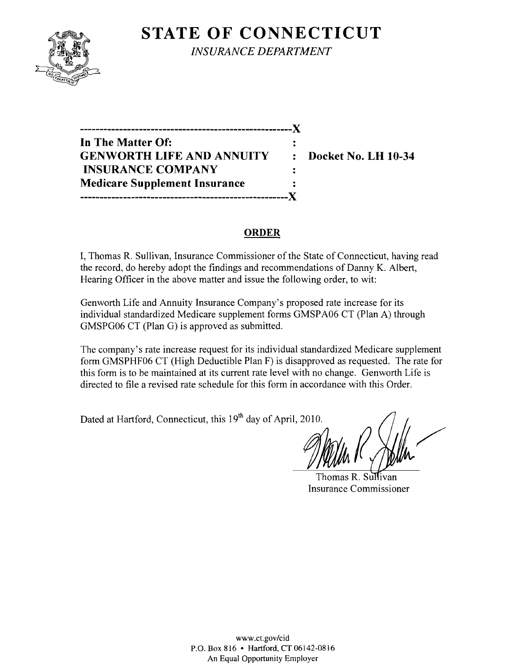

**STATE OF CONNECTICUT** *INSURANCE DEPARTMENT* 

**------------------------------------------------------**)( **In The Matter Of: GENWORTH LIFE AND ANNUITY : Docket No. LH 10-34 INSURANCE COMPANY Medicare Supplement Insurance -----------------------------------------------------)(** 

#### **ORDER**

 $\ddot{\cdot}$  $\ddot{\cdot}$ 

I, Thomas R. Sullivan, Insurance Commissioner of the State of Connecticut, having read the record, do hereby adopt the findings and recommendations of Danny K. Albert, Hearing Officer in the above matter and issue the following order, to wit:

Genworth Life and Annuity Insurance Company's proposed rate increase for its individual standardized Medicare supplement forms GMSPA06 CT (Plan A) through GMSPG06 CT (Plan G) is approved as submitted.

The company's rate increase request for its individual standardized Medicare supplement form GMSPHF06 CT (High Deductible Plan F) is disapproved as requested. The rate for this form is to be maintained at its current rate level with no change. Genworth Life is directed to file a revised rate schedule for this form in accordance with this Order.

Dated at Hartford, Connecticut, this 19<sup>th</sup> day of April, 2010.

Mille K

Thomas R. Sullivan Insurance Commissioner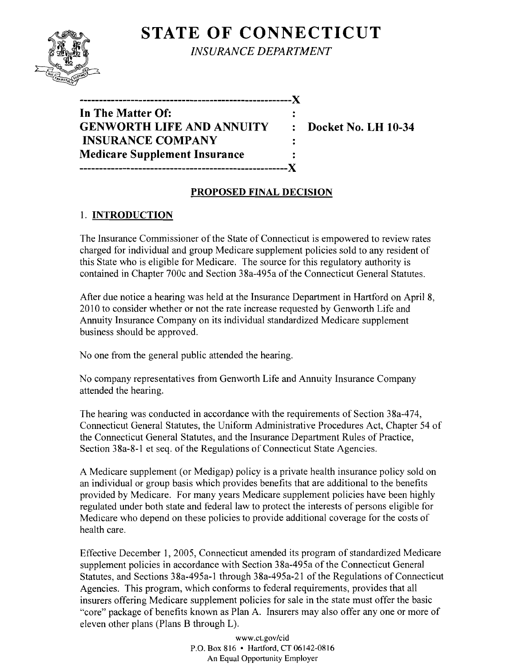# **STATE OF CONNECTICUT**



*INSURANCE DEPARTMENT* 

| In The Matter Of:                    |                |
|--------------------------------------|----------------|
| <b>GENWORTH LIFE AND ANNUITY</b>     | $\ddot{\cdot}$ |
| <b>INSURANCE COMPANY</b>             |                |
| <b>Medicare Supplement Insurance</b> |                |
|                                      |                |

**EDOCKET NO. LH 10-34** 

# **PROPOSED FINAL DECISION**

# 1. **INTRODUCTION**

The Insurance Commissioner of the State of Connecticut is empowered to review rates charged for individual and group Medicare supplement policies sold to any resident of this State who is eligible for Medicare. The source for this regulatory authority is contained in Chapter 700c and Section 38a-495a ofthe Connecticut General Statutes.

After due notice a hearing was held at the Insurance Department in Hartford on April 8, 2010 to consider whether or not the rate increase requested by Genworth Life and Annuity Insurance Company on its individual standardized Medicare supplement business should be approved.

No one from the general public attended the hearing.

No company representatives from Genworth Life and Annuity Insurance Company attended the hearing.

The hearing was conducted in accordance with the requirements of Section 38a-474, Connecticut General Statutes, the Uniform Administrative Procedures Act, Chapter 54 of the Connecticut General Statutes, and the Insurance Department Rules of Practice, Section 38a-8-1 et seq. of the Regulations of Connecticut State Agencies.

A Medicare supplement (or Medigap) policy is a private health insurance policy sold on an individual or group basis which provides benefits that are additional to the benefits provided by Medicare. For many years Medicare supplement policies have been highly regulated under both state and federal law to protect the interests of persons eligible for Medicare who depend on these policies to provide additional coverage for the costs of health care.

Effective December 1, 2005, Connecticut amended its program of standardized Medicare supplement policies in accordance with Section 38a-495a of the Connecticut General Statutes, and Sections 38a-495a-l through 38a-495a-21 of the Regulations of Connecticut Agencies. This program, which conforms to federal requirements, provides that all insurers offering Medicare supplement policies for sale in the state must offer the basic "core" package of benefits known as Plan A. Insurers may also offer anyone or more of eleven other plans (Plans B through L).

> www.cLgov/cid P.O. Box 816 • Hartford, CT 06142-0816 An Equal Opportunity Employer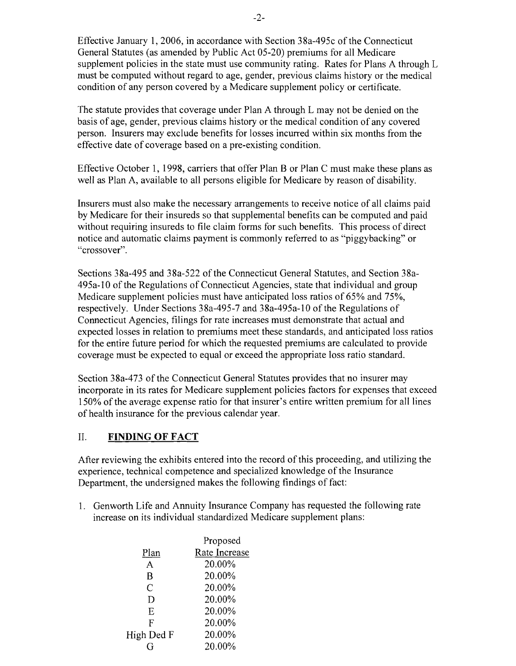Effective January 1,2006, in accordance with Section 38a-495c ofthe Connecticut General Statutes (as amended by Public Act 05-20) premiums for all Medicare supplement policies in the state must use community rating. Rates for Plans A through  $L$ must be computed without regard to age, gender, previous claims history or the medical condition of any person covered by a Medicare supplement policy or certificate.

The statute provides that coverage under Plan A through L may not be denied on the basis of age, gender, previous claims history or the medical condition of any covered person. Insurers may exclude benefits for losses incurred within six months from the effective date of coverage based on a pre-existing condition.

Effective October 1, 1998, carriers that offer Plan B or Plan C must make these plans as well as Plan A, available to all persons eligible for Medicare by reason of disability.

Insurers must also make the necessary arrangements to receive notice of all claims paid by Medicare for their insureds so that supplemental benefits can be computed and paid without requiring insureds to file claim forms for such benefits. This process of direct notice and automatic claims payment is commonly referred to as "piggybacking" or "crossover".

Sections 38a-495 and 38a-522 of the Connecticut General Statutes, and Section 38a-495a-l0 ofthe Regulations of Connecticut Agencies, state that individual and group Medicare supplement policies must have anticipated loss ratios of 65% and 75%, respectively. Under Sections 38a-495-7 and 38a-495a-l0 of the Regulations of Connecticut Agencies, filings for rate increases must demonstrate that actual and expected losses in relation to premiums meet these standards, and anticipated loss ratios for the entire future period for which the requested premiums are calculated to provide coverage must be expected to equal or exceed the appropriate loss ratio standard.

Section 38a-473 of the Connecticut General Statutes provides that no insurer may incorporate in its rates for Medicare supplement policies factors for expenses that exceed 150% of the average expense ratio for that insurer's entire written premium for all lines of health insurance for the previous calendar year.

### II. **FINDING OF FACT**

After reviewing the exhibits entered into the record of this proceeding, and utilizing the experience, technical competence and specialized knowledge of the Insurance Department, the undersigned makes the following findings of fact:

1. Genworth Life and Annuity Insurance Company has requested the following rate increase on its individual standardized Medicare supplement plans:

| Proposed      |
|---------------|
| Rate Increase |
| 20.00%        |
| 20.00%        |
| 20.00%        |
| 20.00%        |
| 20.00%        |
| 20.00%        |
| 20.00%        |
| 20.00%        |
|               |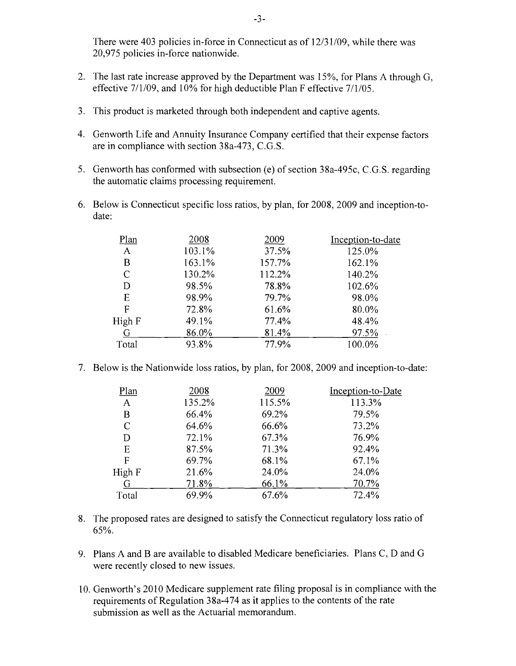There were 403 policies in-force in Connecticut as of 12/31/09, while there was 20,975 policies in-force nationwide.

- 2. The last rate increase approved by the Department was  $15\%$ , for Plans A through G, effective 7/1/09, and 10% for high deductible Plan F effective 7/1/05.
- 3. This product is marketed through both independent and captive agents.
- 4. Genworth Life and Annuity Insurance Company certified that their expense factors are in compliance with section 38a-473, C.G.S.
- 5. Genworth has conformed with subsection (e) of section 38a-495c, C.G.S. regarding the automatic claims processing requirement.
- 6. Below is Connecticut specific loss ratios, by plan, for 2008, 2009 and inception-todate:

| Plan        | 2008   | 2009   | Inception-to-date |
|-------------|--------|--------|-------------------|
| A           | 103.1% | 37.5%  | 125.0%            |
| В           | 163.1% | 157.7% | 162.1%            |
| C           | 130.2% | 112.2% | 140.2%            |
| D           | 98.5%  | 78.8%  | 102.6%            |
| E           | 98.9%  | 79.7%  | 98.0%             |
| $\mathsf F$ | 72.8%  | 61.6%  | 80.0%             |
| High F      | 49.1%  | 77.4%  | 48.4%             |
| G           | 86.0%  | 81.4%  | 97.5%             |
| Total       | 93.8%  | 77.9%  | 100.0%            |
|             |        |        |                   |

7. Below is the Nationwide loss ratios, by plan, for 2008, 2009 and inception-to-date:

| Plan          | 2008   | 2009   | Inception-to-Date |
|---------------|--------|--------|-------------------|
| A             | 135.2% | 115.5% | 113.3%            |
| В             | 66.4%  | 69.2%  | 79.5%             |
| $\mathcal{C}$ | 64.6%  | 66.6%  | 73.2%             |
| D             | 72.1%  | 67.3%  | 76.9%             |
| Ε             | 87.5%  | 71.3%  | 92.4%             |
| F             | 69.7%  | 68.1%  | 67.1%             |
| High F        | 21.6%  | 24.0%  | 24.0%             |
| G             | 71.8%  | 66.1%  | 70.7%             |
| Total         | 69.9%  | 67.6%  | 72.4%             |

- 8. The proposed rates are designed to satisfy the Connecticut regulatory loss ratio of 65%.
- 9. Plans A and B are available to disabled Medicare beneficiaries. Plans C, D and G were recently closed to new issues.
- 10. Genworth's 2010 Medicare supplement rate filing proposal is in compliance with the requirements of Regulation 38a-474 as it applies to the contents of the rate submission as well as the Actuarial memorandum.